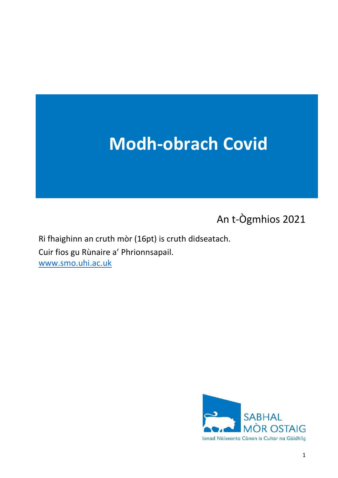# Modh-obrach Covid

An t-Ògmhios 2021

Ri fhaighinn an cruth mòr (16pt) is cruth didseatach. Cuir fios gu Rùnaire a' Phrionnsapail. www.smo.uhi.ac.uk

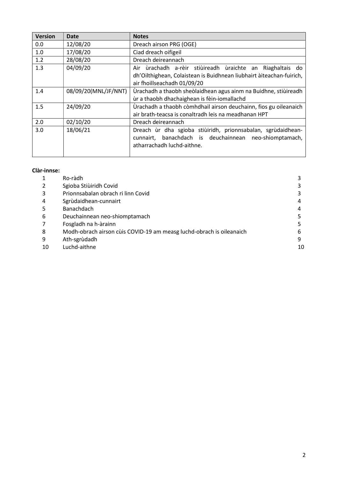| <b>Version</b> | <b>Date</b>          | <b>Notes</b>                                                                                                                                                     |  |
|----------------|----------------------|------------------------------------------------------------------------------------------------------------------------------------------------------------------|--|
| 0.0            | 12/08/20             | Dreach airson PRG (OGE)                                                                                                                                          |  |
| 1.0            | 17/08/20             | Ciad dreach oifigeil                                                                                                                                             |  |
| 1.2            | 28/08/20             | Dreach deireannach                                                                                                                                               |  |
| 1.3            | 04/09/20             | Air ùrachadh a-rèir stiùireadh ùraichte an Riaghaltais do<br>dh'Oilthighean, Colaistean is Buidhnean liubhairt àiteachan-fuirich,<br>air fhoillseachadh 01/09/20 |  |
| 1.4            | 08/09/20(MNL/JF/NNT) | Ùrachadh a thaobh sheòlaidhean agus ainm na Buidhne, stiùireadh<br>ùr a thaobh dhachaighean is fèin-iomallachd                                                   |  |
| 1.5            | 24/09/20             | Ùrachadh a thaobh còmhdhail airson deuchainn, fios gu oileanaich<br>air brath-teacsa is conaltradh leis na meadhanan HPT                                         |  |
| 2.0            | 02/10/20             | Dreach deireannach                                                                                                                                               |  |
| 3.0            | 18/06/21             | Dreach ùr dha sgioba stiùiridh, prionnsabalan, sgrùdaidhean-<br>banachdach is deuchainnean neo-shiomptamach,<br>cunnairt,<br>atharrachadh luchd-aithne.          |  |

#### Clàr-innse:

|    | Ro-ràdh                                                              |    |
|----|----------------------------------------------------------------------|----|
|    | Sgioba Stiùiridh Covid                                               |    |
| 3  | Prionnsabalan obrach ri linn Covid                                   |    |
| 4  | Sgrùdaidhean-cunnairt                                                |    |
|    | Banachdach                                                           |    |
| 6  | Deuchainnean neo-shiomptamach                                        |    |
|    | Fosgladh na h-àrainn                                                 |    |
| 8  | Modh-obrach airson cùis COVID-19 am measg luchd-obrach is oileanaich | b  |
| 9  | Ath-sgrùdadh                                                         | q  |
| 10 | Luchd-aithne                                                         | 10 |
|    |                                                                      |    |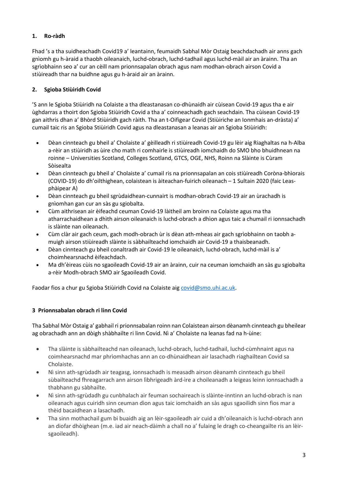## 1. Ro-ràdh

Fhad 's a tha suidheachadh Covid19 a' leantainn, feumaidh Sabhal Mòr Ostaig beachdachadh air anns gach gnìomh gu h-àraid a thaobh oileanaich, luchd-obrach, luchd-tadhail agus luchd-màil air an àrainn. Tha an sgrìobhainn seo a' cur an cèill nam prionnsapalan obrach agus nam modhan-obrach airson Covid a stiùireadh thar na buidhne agus gu h-àraid air an àrainn.

## 2. Sgioba Stiùiridh Covid

'S ann le Sgioba Stiùiridh na Colaiste a tha dleastanasan co-dhùnaidh air cùisean Covid-19 agus tha e air ùghdarras a thoirt don Sgioba Stiùiridh Covid a tha a' coinneachadh gach seachdain. Tha cùisean Covid-19 gan aithris dhan a' Bhòrd Stiùiridh gach ràith. Tha an t-Oifigear Covid (Stiùiriche an Ionmhais an-dràsta) a' cumail taic ris an Sgioba Stiùiridh Covid agus na dleastanasan a leanas air an Sgioba Stiùiridh:

- Dèan cinnteach gu bheil a' Cholaiste a' gèilleadh ri stiùireadh Covid-19 gu lèir aig Riaghaltas na h-Alba a-rèir an stiùiridh as ùire cho math ri comhairle is stiùireadh iomchaidh do SMO bho bhuidhnean na roinne – Universities Scotland, Colleges Scotland, GTCS, OGE, NHS, Roinn na Slàinte is Cùram Sòisealta
- Dèan cinnteach gu bheil a' Cholaiste a' cumail ris na prionnsapalan an cois stiùireadh Coròna-bhìorais (COVID-19) do dh'oilthighean, colaistean is àiteachan-fuirich oileanach – 1 Sultain 2020 (faic Leasphàipear A)
- Dèan cinnteach gu bheil sgrùdaidhean-cunnairt is modhan-obrach Covid-19 air an ùrachadh is gnìomhan gan cur an sàs gu sgiobalta.
- Cùm aithrisean air èifeachd ceuman Covid-19 làitheil am broinn na Colaiste agus ma tha atharrachaidhean a dhìth airson oileanaich is luchd-obrach a dhìon agus taic a chumail ri ionnsachadh is slàinte nan oileanach.
- Cùm clàr air gach ceum, gach modh-obrach ùr is dèan ath-mheas air gach sgrìobhainn on taobh amuigh airson stiùireadh slàinte is sàbhailteachd iomchaidh air Covid-19 a thaisbeanadh.
- Dèan cinnteach gu bheil conaltradh air Covid-19 le oileanaich, luchd-obrach, luchd-màil is a' choimhearsnachd èifeachdach.
- Ma dh'èireas cùis no sgaoileadh Covid-19 air an àrainn, cuir na ceuman iomchaidh an sàs gu sgiobalta a-rèir Modh-obrach SMO air Sgaoileadh Covid.

Faodar fios a chur gu Sgioba Stiùiridh Covid na Colaiste aig covid@smo.uhi.ac.uk.

#### 3 Prionnsabalan obrach ri linn Covid

Tha Sabhal Mòr Ostaig a' gabhail ri prionnsabalan roinn nan Colaistean airson dèanamh cinnteach gu bheilear ag obrachadh ann an dòigh shàbhailte ri linn Covid. Nì a' Cholaiste na leanas fad na h-ùine:

- Tha slàinte is sàbhailteachd nan oileanach, luchd-obrach, luchd-tadhail, luchd-cùmhnaint agus na coimhearsnachd mar phrìomhachas ann an co-dhùnaidhean air lasachadh riaghailtean Covid sa Cholaiste.
- Nì sinn ath-sgrùdadh air teagasg, ionnsachadh is measadh airson dèanamh cinnteach gu bheil sùbailteachd fhreagarrach ann airson lìbhrigeadh àrd-ìre a choileanadh a leigeas leinn ionnsachadh a thabhann gu sàbhailte.
- Nì sinn ath-sgrùdadh gu cunbhalach air feuman sochaireach is slàinte-inntinn an luchd-obrach is nan oileanach agus cuiridh sinn ceuman dìon agus taic iomchaidh an sàs agus sgaoilidh sinn fios mar a thèid bacaidhean a lasachadh.
- Tha sinn mothachail gum bi buaidh aig an lèir-sgaoileadh air cuid a dh'oileanaich is luchd-obrach ann an diofar dhòighean (m.e. iad air neach-dàimh a chall no a' fulaing le dragh co-cheangailte ris an lèirsgaoileadh).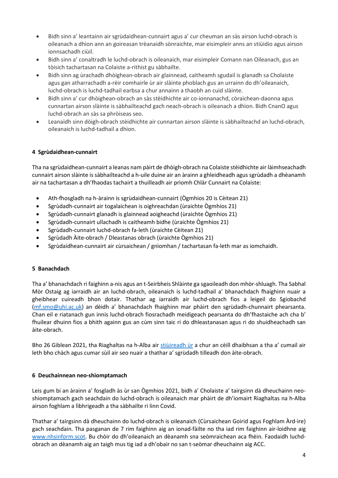- Bidh sinn a' leantainn air sgrùdaidhean-cunnairt agus a' cur cheuman an sàs airson luchd-obrach is oileanach a dhìon ann an goireasan trèanaidh sònraichte, mar eisimpleir anns an stiùidio agus airson ionnsachadh ciùil.
- Bidh sinn a' conaltradh le luchd-obrach is oileanaich, mar eisimpleir Comann nan Oileanach, gus an tòisich tachartasan na Colaiste a-rithist gu sàbhailte.
- Bidh sinn ag ùrachadh dhòighean-obrach air glainnead, caitheamh sgudail is glanadh sa Cholaiste agus gan atharrachadh a-rèir comhairle ùr air slàinte phoblach gus an urrainn do dh'oileanaich, luchd-obrach is luchd-tadhail earbsa a chur annainn a thaobh an cuid slàinte.
- Bidh sinn a' cur dhòighean-obrach an sàs stèidhichte air co-ionnanachd, còraichean-daonna agus cunnartan airson slàinte is sàbhailteachd gach neach-obrach is oileanach a dhìon. Bidh CnanO agus luchd-obrach an sàs sa phròiseas seo.
- Leanaidh sinn dòigh-obrach stèidhichte air cunnartan airson slàinte is sàbhailteachd an luchd-obrach, oileanaich is luchd-tadhail a dhìon.

#### 4 Sgrùdaidhean-cunnairt

Tha na sgrùdaidhean-cunnairt a leanas nam pàirt de dhòigh-obrach na Colaiste stèidhichte air làimhseachadh cunnairt airson slàinte is sàbhailteachd a h-uile duine air an àrainn a ghleidheadh agus sgrùdadh a dhèanamh air na tachartasan a dh'fhaodas tachairt a thuilleadh air prìomh Chlàr Cunnairt na Colaiste:

- Ath-fhosgladh na h-àrainn is sgrùdaidhean-cunnairt (Ògmhios 20 is Cèitean 21)
- Sgrùdadh-cunnairt air togalaichean is oighreachdan (ùraichte Ògmhios 21)
- Sgrùdadh-cunnairt glanadh is glainnead aoigheachd (ùraichte Ògmhios 21)
- Sgrùdadh-cunnairt ullachadh is caitheamh bidhe (ùraichte Ògmhios 21)
- Sgrùdadh-cunnairt luchd-obrach fa-leth (ùraichte Cèitean 21)
- Sgrùdadh Àite-obrach / Dleastanas obrach (ùraichte Ògmhios 21)
- Sgrùdaidhean-cunnairt air cùrsaichean / gnìomhan / tachartasan fa-leth mar as iomchaidh.

#### 5 Banachdach

Tha a' bhanachdach ri faighinn a-nis agus an t-Seirbheis Shlàinte ga sgaoileadh don mhòr-shluagh. Tha Sabhal Mòr Ostaig ag iarraidh air an luchd-obrach, oileanaich is luchd-tadhail a' bhanachdach fhaighinn nuair a gheibhear cuireadh bhon dotair. Thathar ag iarraidh air luchd-obrach fios a leigeil do Sgiobachd (mf.smo@uhi.ac.uk) an dèidh a' bhanachdach fhaighinn mar phàirt den sgrùdadh-chunnairt phearsanta. Chan eil e riatanach gun innis luchd-obrach fiosrachadh meidigeach pearsanta do dh'fhastaiche ach cha b' fhuilear dhuinn fios a bhith againn gus an cùm sinn taic ri do dhleastanasan agus ri do shuidheachadh san àite-obrach.

Bho 26 Giblean 2021, tha Riaghaltas na h-Alba air stiùireadh ùr a chur an cèill dhaibhsan a tha a' cumail air leth bho chàch agus cumar sùil air seo nuair a thathar a' sgrùdadh tilleadh don àite-obrach.

#### 6 Deuchainnean neo-shiomptamach

Leis gum bi an àrainn a' fosgladh às ùr san Ògmhios 2021, bidh a' Cholaiste a' tairgsinn dà dheuchainn neoshiomptamach gach seachdain do luchd-obrach is oileanaich mar phàirt de dh'iomairt Riaghaltas na h-Alba airson foghlam a lìbhrigeadh a tha sàbhailte ri linn Covid.

Thathar a' tairgsinn dà dheuchainn do luchd-obrach is oileanaich (Cùrsaichean Goirid agus Foghlam Àrd-ìre) gach seachdain. Tha pasganan de 7 rim faighinn aig an ionad-fàilte no tha iad rim faighinn air-loidhne aig www.nhsinform.scot. Bu chòir do dh'oileanaich an dèanamh sna seòmraichean aca fhèin. Faodaidh luchdobrach an dèanamh aig an taigh mus tig iad a dh'obair no san t-seòmar dheuchainn aig ACC.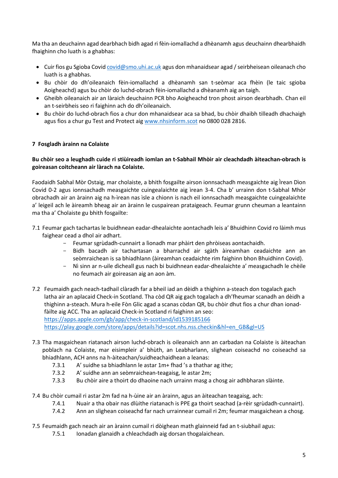Ma tha an deuchainn agad dearbhach bidh agad ri fèin-iomallachd a dhèanamh agus deuchainn dhearbhaidh fhaighinn cho luath is a ghabhas:

- $\bullet$  Cuir fios gu Sgioba Covid covid@smo.uhi.ac.uk agus don mhanaidsear agad / seirbheisean oileanach cho luath is a ghabhas.
- Bu chòir do dh'oileanaich fèin-iomallachd a dhèanamh san t-seòmar aca fhèin (le taic sgioba Aoigheachd) agus bu chòir do luchd-obrach fèin-iomallachd a dhèanamh aig an taigh.
- Gheibh oileanaich air an làraich deuchainn PCR bho Aoigheachd tron phost airson dearbhadh. Chan eil an t-seirbheis seo ri faighinn ach do dh'oileanaich.
- Bu chòir do luchd-obrach fios a chur don mhanaidsear aca sa bhad, bu chòir dhaibh tilleadh dhachaigh agus fios a chur gu Test and Protect aig www.nhsinform.scot no 0800 028 2816.

## 7 Fosgladh àrainn na Colaiste

#### Bu chòir seo a leughadh cuide ri stiùireadh iomlan an t-Sabhail Mhòir air cleachdadh àiteachan-obrach is goireasan coitcheann air làrach na Colaiste.

Faodaidh Sabhal Mòr Ostaig, mar cholaiste, a bhith fosgailte airson ionnsachadh measgaichte aig Ìrean Dìon Covid 0-2 agus ionnsachadh measgaichte cuingealaichte aig ìrean 3-4. Cha b' urrainn don t-Sabhal Mhòr obrachadh air an àrainn aig na h-ìrean nas ìsle a chionn is nach eil ionnsachadh measgaichte cuingealaichte a' leigeil ach le àireamh bheag air an àrainn le cuspairean prataigeach. Feumar grunn cheuman a leantainn ma tha a' Cholaiste gu bhith fosgailte:

- 7.1 Feumar gach tachartas le buidhnean eadar-dhealaichte aontachadh leis a' Bhuidhinn Covid ro làimh mus faighear cead a dhol air adhart.
	- Feumar sgrùdadh-cunnairt a lìonadh mar phàirt den phròiseas aontachaidh.
	- Bidh bacadh air tachartasan a bharrachd air sgàth àireamhan ceadaichte ann an seòmraichean is sa bhiadhlann (àireamhan ceadaichte rim faighinn bhon Bhuidhinn Covid).
	- Nì sinn ar n-uile dìcheall gus nach bi buidhnean eadar-dhealaichte a' measgachadh le chèile no feumach air goireasan aig an aon àm.
- 7.2 Feumaidh gach neach-tadhail clàradh far a bheil iad an dèidh a thighinn a-steach don togalach gach latha air an aplacaid Check-in Scotland. Tha còd QR aig gach togalach a dh'fheumar scanadh an dèidh a thighinn a-steach. Mura h-eile Fòn Glic agad a scanas còdan QR, bu chòir dhut fios a chur dhan ionadfàilte aig ACC. Tha an aplacaid Check-in Scotland ri faighinn an seo: https://apps.apple.com/gb/app/check-in-scotland/id1539185166 https://play.google.com/store/apps/details?id=scot.nhs.nss.checkin&hl=en\_GB&gl=US
- 7.3 Tha masgaichean riatanach airson luchd-obrach is oileanaich ann an carbadan na Colaiste is àiteachan poblach na Colaiste, mar eisimpleir a' bhùth, an Leabharlann, slighean coiseachd no coiseachd sa bhiadhlann, ACH anns na h-àiteachan/suidheachaidhean a leanas:
	- 7.3.1 A' suidhe sa bhiadhlann le astar 1m+ fhad 's a thathar ag ithe;
	- 7.3.2 A' suidhe ann an seòmraichean-teagaisg, le astar 2m;
	- 7.3.3 Bu chòir aire a thoirt do dhaoine nach urrainn masg a chosg air adhbharan slàinte.
- 7.4 Bu chòir cumail ri astar 2m fad na h-ùine air an àrainn, agus an àiteachan teagaisg, ach:
	- 7.4.1 Nuair a tha obair nas dlùithe riatanach is PPE ga thoirt seachad (a-rèir sgrùdadh-cunnairt).
	- 7.4.2 Ann an slighean coiseachd far nach urrainnear cumail ri 2m; feumar masgaichean a chosg.

#### 7.5 Feumaidh gach neach air an àrainn cumail ri dòighean math glainneid fad an t-siubhail agus:

7.5.1 Ionadan glanaidh a chleachdadh aig dorsan thogalaichean.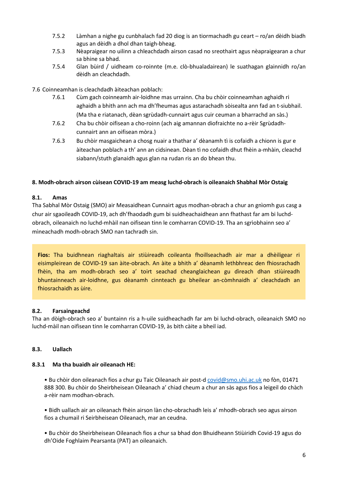- 7.5.2 Làmhan a nighe gu cunbhalach fad 20 diog is an tiormachadh gu ceart ro/an dèidh biadh agus an dèidh a dhol dhan taigh-bheag.
- 7.5.3 Nèapraigear no uilinn a chleachdadh airson casad no sreothairt agus nèapraigearan a chur sa bhine sa bhad.
- 7.5.4 Glan bùird / uidheam co-roinnte (m.e. clò-bhualadairean) le suathagan glainnidh ro/an dèidh an cleachdadh.

#### 7.6 Coinneamhan is cleachdadh àiteachan poblach:

- 7.6.1 Cùm gach coinneamh air-loidhne mas urrainn. Cha bu chòir coinneamhan aghaidh ri aghaidh a bhith ann ach ma dh'fheumas agus astarachadh sòisealta ann fad an t-siubhail. (Ma tha e riatanach, dèan sgrùdadh-cunnairt agus cuir ceuman a bharrachd an sàs.)
- 7.6.2 Cha bu chòir oifisean a cho-roinn (ach aig amannan diofraichte no a-rèir Sgrùdadhcunnairt ann an oifisean mòra.)
- 7.6.3 Bu chòir masgaichean a chosg nuair a thathar a' dèanamh tì is cofaidh a chionn is gur e àiteachan poblach a th' ann an cidsinean. Dèan tì no cofaidh dhut fhèin a-mhàin, cleachd siabann/stuth glanaidh agus glan na rudan ris an do bhean thu.

#### 8. Modh-obrach airson cùisean COVID-19 am measg luchd-obrach is oileanaich Shabhal Mòr Ostaig

#### 8.1. Amas

Tha Sabhal Mòr Ostaig (SMO) air Measaidhean Cunnairt agus modhan-obrach a chur an gnìomh gus casg a chur air sgaoileadh COVID-19, ach dh'fhaodadh gum bi suidheachaidhean ann fhathast far am bi luchdobrach, oileanaich no luchd-mhàil nan oifisean tinn le comharran COVID-19. Tha an sgrìobhainn seo a' mìneachadh modh-obrach SMO nan tachradh sin.

Fios: Tha buidhnean riaghaltais air stiùireadh coileanta fhoillseachadh air mar a dhèiligear ri eisimpleirean de COVID-19 san àite-obrach. An àite a bhith a' dèanamh lethbhreac den fhiosrachadh fhèin, tha am modh-obrach seo a' toirt seachad cheanglaichean gu dìreach dhan stiùireadh bhuntainneach air-loidhne, gus dèanamh cinnteach gu bheilear an-còmhnaidh a' cleachdadh an fhiosrachaidh as ùire.

#### 8.2. Farsaingeachd

Tha an dòigh-obrach seo a' buntainn ris a h-uile suidheachadh far am bi luchd-obrach, oileanaich SMO no luchd-màil nan oifisean tinn le comharran COVID-19, às bith càite a bheil iad.

#### 8.3. Uallach

#### 8.3.1 Ma tha buaidh air oileanach HE:

• Bu chòir don oileanach fios a chur gu Taic Oileanach air post-d covid@smo.uhi.ac.uk no fòn, 01471 888 300. Bu chòir do Sheirbheisean Oileanach a' chiad cheum a chur an sàs agus fios a leigeil do chàch a-rèir nam modhan-obrach.

• Bidh uallach air an oileanach fhèin airson làn cho-obrachadh leis a' mhodh-obrach seo agus airson fios a chumail ri Seirbheisean Oileanach, mar an ceudna.

• Bu chòir do Sheirbheisean Oileanach fios a chur sa bhad don Bhuidheann Stiùiridh Covid-19 agus do dh'Oide Foghlaim Pearsanta (PAT) an oileanaich.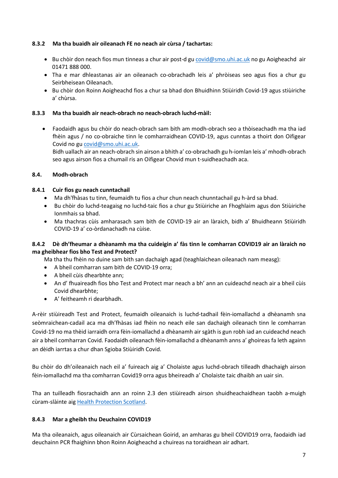#### 8.3.2 Ma tha buaidh air oileanach FE no neach air cùrsa / tachartas:

- Bu chòir don neach fios mun tinneas a chur air post-d gu covid@smo.uhi.ac.uk no gu Aoigheachd air 01471 888 000.
- Tha e mar dhleastanas air an oileanach co-obrachadh leis a' phròiseas seo agus fios a chur gu Seirbheisean Oileanach.
- Bu chòir don Roinn Aoigheachd fios a chur sa bhad don Bhuidhinn Stiùiridh Covid-19 agus stiùiriche a' chùrsa.

#### 8.3.3 Ma tha buaidh air neach-obrach no neach-obrach luchd-màil:

 Faodaidh agus bu chòir do neach-obrach sam bith am modh-obrach seo a thòiseachadh ma tha iad fhèin agus / no co-obraiche tinn le comharraidhean COVID-19, agus cunntas a thoirt don Oifigear Covid no gu covid@smo.uhi.ac.uk.

Bidh uallach air an neach-obrach sin airson a bhith a' co-obrachadh gu h-iomlan leis a' mhodh-obrach seo agus airson fios a chumail ris an Oifigear Chovid mun t-suidheachadh aca.

#### 8.4. Modh-obrach

#### 8.4.1 Cuir fios gu neach cunntachail

- Ma dh'fhàsas tu tinn, feumaidh tu fios a chur chun neach chunntachail gu h-àrd sa bhad.
- Bu chòir do luchd-teagaisg no luchd-taic fios a chur gu Stiùiriche an Fhoghlaim agus don Stiùiriche Ionmhais sa bhad.
- Ma thachras cùis amharasach sam bith de COVID-19 air an làraich, bidh a' Bhuidheann Stiùiridh COVID-19 a' co-òrdanachadh na cùise.

#### 8.4.2 Dè dh'fheumar a dhèanamh ma tha cuideigin a' fàs tinn le comharran COVID19 air an làraich no ma gheibhear fios bho Test and Protect?

Ma tha thu fhèin no duine sam bith san dachaigh agad (teaghlaichean oileanach nam measg):

- A bheil comharran sam bith de COVID-19 orra;
- A bheil cùis dhearbhte ann;
- An d' fhuaireadh fios bho Test and Protect mar neach a bh' ann an cuideachd neach air a bheil cùis Covid dhearbhte;
- A' feitheamh ri dearbhadh.

A-rèir stiùireadh Test and Protect, feumaidh oileanaich is luchd-tadhail fèin-iomallachd a dhèanamh sna seòmraichean-cadail aca ma dh'fhàsas iad fhèin no neach eile san dachaigh oileanach tinn le comharran Covid-19 no ma thèid iarraidh orra fèin-iomallachd a dhèanamh air sgàth is gun robh iad an cuideachd neach air a bheil comharran Covid. Faodaidh oileanach fèin-iomallachd a dhèanamh anns a' ghoireas fa leth againn an dèidh iarrtas a chur dhan Sgioba Stiùiridh Covid.

Bu chòir do dh'oileanaich nach eil a' fuireach aig a' Cholaiste agus luchd-obrach tilleadh dhachaigh airson fèin-iomallachd ma tha comharran Covid19 orra agus bheireadh a' Cholaiste taic dhaibh an uair sin.

Tha an tuilleadh fiosrachaidh ann an roinn 2.3 den stiùireadh airson shuidheachaidhean taobh a-muigh cùram-slàinte aig Health Protection Scotland.

#### 8.4.3 Mar a gheibh thu Deuchainn COVID19

Ma tha oileanaich, agus oileanaich air Cùrsaichean Goirid, an amharas gu bheil COVID19 orra, faodaidh iad deuchainn PCR fhaighinn bhon Roinn Aoigheachd a chuireas na toraidhean air adhart.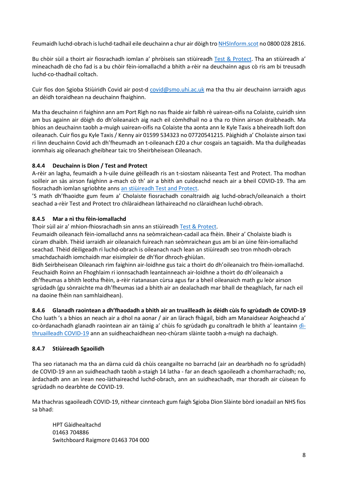Feumaidh luchd-obrach is luchd-tadhail eile deuchainn a chur air dòigh tro NHSInform.scot no 0800 028 2816.

Bu chòir sùil a thoirt air fiosrachadh iomlan a' phròiseis san stiùireadh Test & Protect. Tha an stiùireadh a' mìneachadh dè cho fad is a bu chòir fèin-iomallachd a bhith a-rèir na deuchainn agus cò ris am bi treusadh luchd-co-thadhail coltach.

Cuir fios don Sgioba Stiùiridh Covid air post-d covid@smo.uhi.ac.uk ma tha thu air deuchainn iarraidh agus an dèidh toraidhean na deuchainn fhaighinn.

Ma tha deuchainn ri faighinn ann am Port Rìgh no nas fhaide air falbh rè uairean-oifis na Colaiste, cuiridh sinn am bus againn air dòigh do dh'oileanaich aig nach eil còmhdhail no a tha ro thinn airson draibheadh. Ma bhios an deuchainn taobh a-muigh uairean-oifis na Colaiste tha aonta ann le Kyle Taxis a bheireadh lioft don oileanach. Cuir fios gu Kyle Taxis / Kenny air 01599 534323 no 07720541215. Pàighidh a' Cholaiste airson taxi ri linn deuchainn Covid ach dh'fheumadh an t-oileanach £20 a chur cosgais an tagsaidh. Ma tha duilgheadas ionmhais aig oileanach gheibhear taic tro Sheirbheisean Oileanach.

## 8.4.4 Deuchainn is Dìon / Test and Protect

A-rèir an lagha, feumaidh a h-uile duine gèilleadh ris an t-siostam nàiseanta Test and Protect. Tha modhan soilleir an sàs airson faighinn a-mach cò th' air a bhith an cuideachd neach air a bheil COVID-19. Tha am fiosrachadh iomlan sgrìobhte anns an stiùireadh Test and Protect.

'S math dh'fhaoidte gum feum a' Cholaiste fiosrachadh conaltraidh aig luchd-obrach/oileanaich a thoirt seachad a-rèir Test and Protect tro chlàraidhean làthaireachd no clàraidhean luchd-obrach.

## 8.4.5 Mar a nì thu fèin-iomallachd

Thoir sùil air a' mhion-fhiosrachadh sin anns an stiùireadh Test & Protect.

Feumaidh oileanach fèin-iomallachd anns na seòmraichean-cadail aca fhèin. Bheir a' Cholaiste biadh is cùram dhaibh. Thèid iarraidh air oileanaich fuireach nan seòmraichean gus am bi an ùine fèin-iomallachd seachad. Thèid dèiligeadh ri luchd-obrach is oileanach nach lean an stiùireadh seo tron mhodh-obrach smachdachaidh iomchaidh mar eisimpleir de dh'fìor dhroch-ghiùlan.

Bidh Seirbheisean Oileanach rim faighinn air-loidhne gus taic a thoirt do dh'oileanaich tro fhèin-iomallachd. Feuchaidh Roinn an Fhoghlaim ri ionnsachadh leantainneach air-loidhne a thoirt do dh'oileanaich a dh'fheumas a bhith leotha fhèin, a-rèir riatanasan cùrsa agus far a bheil oileanaich math gu leòr airson sgrùdadh (gu sònraichte ma dh'fheumas iad a bhith air an dealachadh mar bhall de theaghlach, far nach eil na daoine fhèin nan samhlaidhean).

#### 8.4.6 Glanadh raointean a dh'fhaodadh a bhith air an truailleadh às dèidh cùis fo sgrùdadh de COVID-19

Cho luath 's a bhios an neach air a dhol na aonar / air an làrach fhàgail, bidh am Manaidsear Aoigheachd a' co-òrdanachadh glanadh raointean air an tàinig a' chùis fo sgrùdadh gu conaltradh le bhith a' leantainn dìthruailleadh COVID-19 ann an suidheachaidhean neo-chùram slàinte taobh a-muigh na dachaigh.

#### 8.4.7 Stiùireadh Sgaoilidh

Tha seo riatanach ma tha an dàrna cuid dà chùis ceangailte no barrachd (air an dearbhadh no fo sgrùdadh) de COVID-19 ann an suidheachadh taobh a-staigh 14 latha - far an deach sgaoileadh a chomharrachadh; no, àrdachadh ann an ìrean neo-làthaireachd luchd-obrach, ann an suidheachadh, mar thoradh air cùisean fo sgrùdadh no dearbhte de COVID-19.

Ma thachras sgaoileadh COVID-19, nithear cinnteach gum faigh Sgioba Dìon Slàinte bòrd ionadail an NHS fios sa bhad:

HPT Gàidhealtachd 01463 704886 Switchboard Raigmore 01463 704 000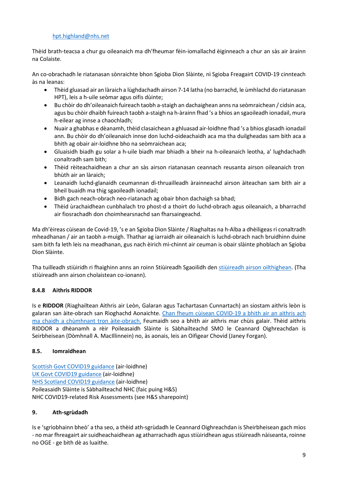#### hpt.highland@nhs.net

Thèid brath-teacsa a chur gu oileanaich ma dh'fheumar fèin-iomallachd èiginneach a chur an sàs air àrainn na Colaiste.

An co-obrachadh le riatanasan sònraichte bhon Sgioba Dìon Slàinte, nì Sgioba Freagairt COVID-19 cinnteach às na leanas:

- Thèid gluasad air an làraich a lùghdachadh airson 7-14 latha (no barrachd, le ùmhlachd do riatanasan HPT), leis a h-uile seòmar agus oifis dùinte;
- Bu chòir do dh'oileanaich fuireach taobh a-staigh an dachaighean anns na seòmraichean / cidsin aca, agus bu chòir dhaibh fuireach taobh a-staigh na h-àrainn fhad 's a bhios an sgaoileadh ionadail, mura h-eilear ag innse a chaochladh;
- Nuair a ghabhas e dèanamh, thèid clasaichean a ghluasad air-loidhne fhad 's a bhios glasadh ionadail ann. Bu chòir do dh'oileanaich innse don luchd-oideachaidh aca ma tha duilgheadas sam bith aca a bhith ag obair air-loidhne bho na seòmraichean aca;
- Gluaisidh biadh gu solar a h-uile biadh mar bhiadh a bheir na h-oileanaich leotha, a' lughdachadh conaltradh sam bith;
- Thèid rèiteachaidhean a chur an sàs airson riatanasan ceannach reusanta airson oileanaich tron bhùth air an làraich;
- Leanaidh luchd-glanaidh ceumannan dì-thruailleadh àrainneachd airson àiteachan sam bith air a bheil buaidh ma thig sgaoileadh ionadail;
- Bidh gach neach-obrach neo-riatanach ag obair bhon dachaigh sa bhad;
- Thèid ùrachaidhean cunbhalach tro phost-d a thoirt do luchd-obrach agus oileanaich, a bharrachd air fiosrachadh don choimhearsnachd san fharsaingeachd.

Ma dh'èireas cùisean de Covid-19, 's e an Sgioba Dìon Slàinte / Riaghaltas na h-Alba a dhèiligeas ri conaltradh mheadhanan / air an taobh a-muigh. Thathar ag iarraidh air oileanaich is luchd-obrach nach bruidhinn duine sam bith fa leth leis na meadhanan, gus nach èirich mì-chinnt air ceuman is obair slàinte phoblach an Sgioba Dìon Slàinte.

Tha tuilleadh stiùiridh ri fhaighinn anns an roinn Stiùireadh Sgaoilidh den stiùireadh airson oilthighean. (Tha stiùireadh ann airson cholaistean co-ionann).

## 8.4.8 Aithris RIDDOR

Is e RIDDOR (Riaghailtean Aithris air Leòn, Galaran agus Tachartasan Cunnartach) an siostam aithris leòn is galaran san àite-obrach san Rìoghachd Aonaichte. Chan fheum cùisean COVID-19 a bhith air an aithris ach ma chaidh a chùmhnant tron àite-obrach. Feumaidh seo a bhith air aithris mar chùis galair. Thèid aithris RIDDOR a dhèanamh a rèir Poileasaidh Slàinte is Sàbhailteachd SMO le Ceannard Oighreachdan is Seirbheisean (Dòmhnall A. MacIllinnein) no, às aonais, leis an Oifigear Chovid (Janey Forgan).

#### 8.5. Iomraidhean

Scottish Govt COVID19 guidance (air-loidhne) UK Govt COVID19 guidance (air-loidhne) NHS Scotland COVID19 guidance (air-loidhne) Poileasaidh Slàinte is Sàbhailteachd NHC (faic puing H&S) NHC COVID19-related Risk Assessments (see H&S sharepoint)

#### 9. Ath-sgrùdadh

Is e 'sgrìobhainn bheò' a tha seo, a thèid ath-sgrùdadh le Ceannard Oighreachdan is Sheirbheisean gach mìos - no mar fhreagairt air suidheachaidhean ag atharrachadh agus stiùiridhean agus stiùireadh nàiseanta, roinne no OGE - ge bith dè as luaithe.